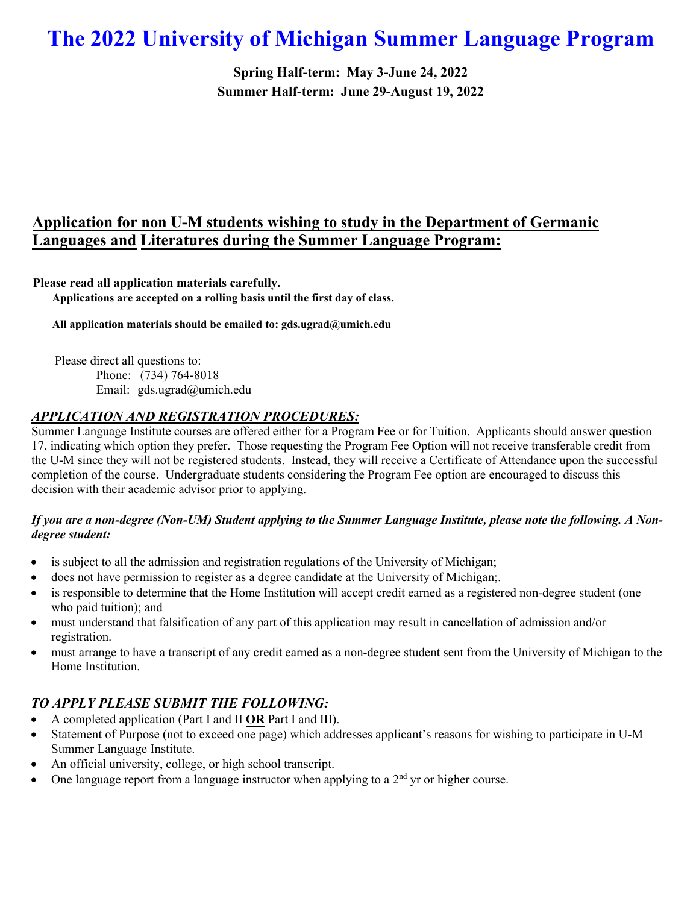# **The 2022 University of Michigan Summer Language Program**

**Spring Half-term: May 3-June 24, 2022 Summer Half-term: June 29-August 19, 2022**

## **Application for non U-M students wishing to study in the Department of Germanic Languages and Literatures during the Summer Language Program:**

**Please read all application materials carefully. Applications are accepted on a rolling basis until the first day of class.** 

**All application materials should be emailed to: gds.ugrad@umich.edu**

Please direct all questions to: Phone: (734) 764-8018 Email: gds.ugrad@umich.edu

#### *APPLICATION AND REGISTRATION PROCEDURES:*

Summer Language Institute courses are offered either for a Program Fee or for Tuition. Applicants should answer question 17, indicating which option they prefer. Those requesting the Program Fee Option will not receive transferable credit from the U-M since they will not be registered students. Instead, they will receive a Certificate of Attendance upon the successful completion of the course. Undergraduate students considering the Program Fee option are encouraged to discuss this decision with their academic advisor prior to applying.

#### *If you are a non-degree (Non-UM) Student applying to the Summer Language Institute, please note the following. A Nondegree student:*

- is subject to all the admission and registration regulations of the University of Michigan;
- does not have permission to register as a degree candidate at the University of Michigan;.
- is responsible to determine that the Home Institution will accept credit earned as a registered non-degree student (one who paid tuition); and
- must understand that falsification of any part of this application may result in cancellation of admission and/or registration.
- must arrange to have a transcript of any credit earned as a non-degree student sent from the University of Michigan to the Home Institution.

## *TO APPLY PLEASE SUBMIT THE FOLLOWING:*

- A completed application (Part I and II **OR** Part I and III).
- Statement of Purpose (not to exceed one page) which addresses applicant's reasons for wishing to participate in U-M Summer Language Institute.
- An official university, college, or high school transcript.
- One language report from a language instructor when applying to a  $2<sup>nd</sup>$  yr or higher course.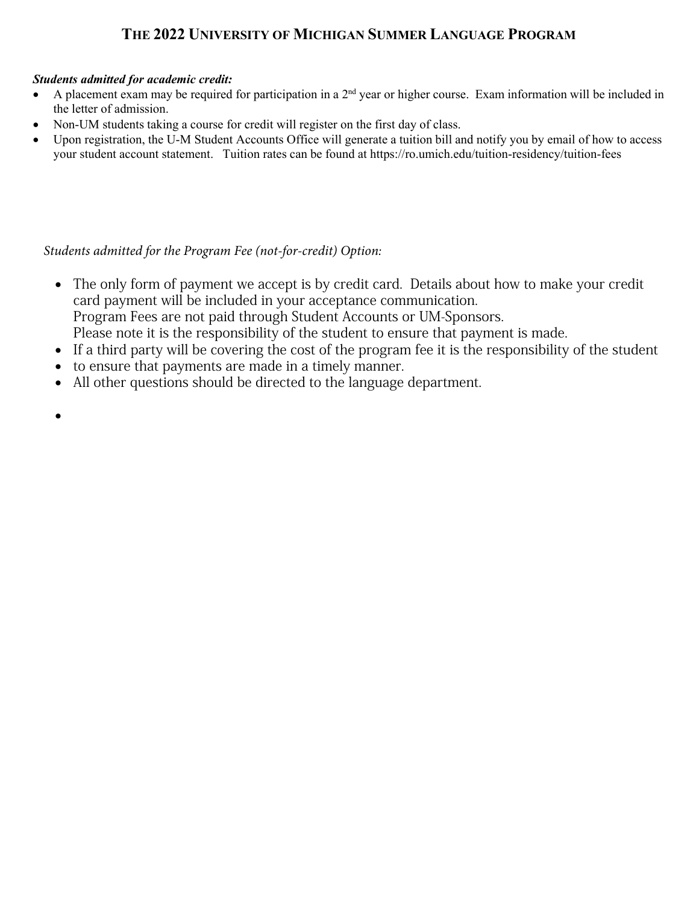## **THE 2022 UNIVERSITY OF MICHIGAN SUMMER LANGUAGE PROGRAM**

### *Students admitted for academic credit:*

- A placement exam may be required for participation in a  $2<sup>nd</sup>$  year or higher course. Exam information will be included in the letter of admission.
- Non-UM students taking a course for credit will register on the first day of class.
- Upon registration, the U-M Student Accounts Office will generate a tuition bill and notify you by email of how to access your student account statement. Tuition rates can be found at https://ro.umich.edu/tuition-residency/tuition-fees

## *Students admitted for the Program Fee (not-for-credit) Option:*

- The only form of payment we accept is by credit card. Details about how to make your credit card payment will be included in your acceptance communication. Program Fees are not paid through Student Accounts or UM-Sponsors. Please note it is the responsibility of the student to ensure that payment is made.
- If a third party will be covering the cost of the program fee it is the responsibility of the student
- to ensure that payments are made in a timely manner.
- All other questions should be directed to the language department.
- •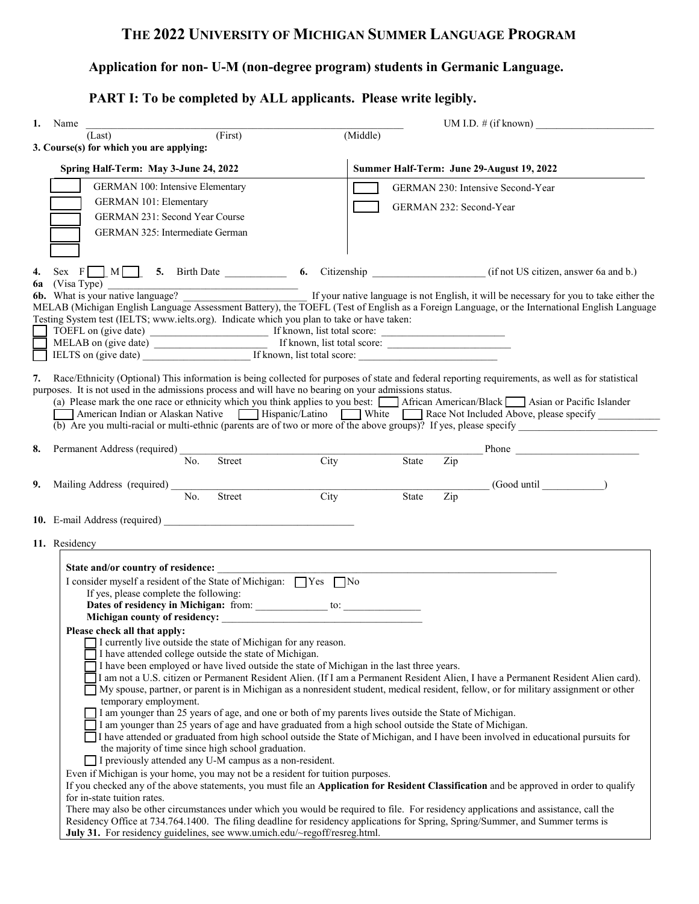## **THE 2022 UNIVERSITY OF MICHIGAN SUMMER LANGUAGE PROGRAM**

## **Application for non- U-M (non-degree program) students in Germanic Language.**

## **PART I: To be completed by ALL applicants. Please write legibly.**

| 1. Name                                                                                                | UM I.D. $\#$ (if known)                                                                                                                                                                                                                                                 |
|--------------------------------------------------------------------------------------------------------|-------------------------------------------------------------------------------------------------------------------------------------------------------------------------------------------------------------------------------------------------------------------------|
| (First)<br>(Last)                                                                                      | (Middle)                                                                                                                                                                                                                                                                |
| 3. Course(s) for which you are applying:                                                               |                                                                                                                                                                                                                                                                         |
| Spring Half-Term: May 3-June 24, 2022                                                                  | Summer Half-Term: June 29-August 19, 2022                                                                                                                                                                                                                               |
| GERMAN 100: Intensive Elementary                                                                       | GERMAN 230: Intensive Second-Year                                                                                                                                                                                                                                       |
| <b>GERMAN 101: Elementary</b>                                                                          |                                                                                                                                                                                                                                                                         |
| GERMAN 231: Second Year Course                                                                         | GERMAN 232: Second-Year                                                                                                                                                                                                                                                 |
| GERMAN 325: Intermediate German                                                                        |                                                                                                                                                                                                                                                                         |
|                                                                                                        |                                                                                                                                                                                                                                                                         |
|                                                                                                        |                                                                                                                                                                                                                                                                         |
| 4.                                                                                                     | Sex $F \t M$ 5. Birth Date 6. Citizenship (if not US citizen, answer 6a and b.)                                                                                                                                                                                         |
|                                                                                                        | 6a (Visa Type)<br>6b. What is your native language?                                                                                                                                                                                                                     |
|                                                                                                        | MELAB (Michigan English Language Assessment Battery), the TOEFL (Test of English as a Foreign Language, or the International English Language                                                                                                                           |
| Testing System test (IELTS; www.ielts.org). Indicate which you plan to take or have taken:             |                                                                                                                                                                                                                                                                         |
|                                                                                                        |                                                                                                                                                                                                                                                                         |
| IELTS on (give date) If known, list total score:                                                       |                                                                                                                                                                                                                                                                         |
|                                                                                                        |                                                                                                                                                                                                                                                                         |
| 7.                                                                                                     | Race/Ethnicity (Optional) This information is being collected for purposes of state and federal reporting requirements, as well as for statistical                                                                                                                      |
| purposes. It is not used in the admissions process and will have no bearing on your admissions status. |                                                                                                                                                                                                                                                                         |
|                                                                                                        | (a) Please mark the one race or ethnicity which you think applies to you best:<br>African American/Black Asian or Pacific Islander                                                                                                                                      |
|                                                                                                        | American Indian or Alaskan Native   Hispanic/Latino   White Race Not Included Above, please specify<br>(b) Are you multi-racial or multi-ethnic (parents are of two or more of the above groups)? If yes, please specify                                                |
|                                                                                                        |                                                                                                                                                                                                                                                                         |
| 8.<br>Permanent Address (required)                                                                     |                                                                                                                                                                                                                                                                         |
| City<br>No.<br>Street                                                                                  | Zip<br><b>State</b>                                                                                                                                                                                                                                                     |
| Mailing Address (required)<br>9.                                                                       | $(Good until$ (Good until $\qquad$ )                                                                                                                                                                                                                                    |
| $\overline{No.}$<br>Street<br>City                                                                     | State<br>Zip                                                                                                                                                                                                                                                            |
|                                                                                                        |                                                                                                                                                                                                                                                                         |
|                                                                                                        |                                                                                                                                                                                                                                                                         |
| 11. Residency<br><u> 1980 - John Stein, Amerikaansk politiker (</u>                                    |                                                                                                                                                                                                                                                                         |
|                                                                                                        |                                                                                                                                                                                                                                                                         |
| State and/or country of residence:                                                                     |                                                                                                                                                                                                                                                                         |
| I consider myself a resident of the State of Michigan: TYes TNo                                        |                                                                                                                                                                                                                                                                         |
| If yes, please complete the following:                                                                 |                                                                                                                                                                                                                                                                         |
|                                                                                                        |                                                                                                                                                                                                                                                                         |
| Please check all that apply:                                                                           |                                                                                                                                                                                                                                                                         |
| I currently live outside the state of Michigan for any reason.                                         |                                                                                                                                                                                                                                                                         |
| I have attended college outside the state of Michigan.                                                 |                                                                                                                                                                                                                                                                         |
| I have been employed or have lived outside the state of Michigan in the last three years.              | I am not a U.S. citizen or Permanent Resident Alien. (If I am a Permanent Resident Alien, I have a Permanent Resident Alien card).                                                                                                                                      |
|                                                                                                        | My spouse, partner, or parent is in Michigan as a nonresident student, medical resident, fellow, or for military assignment or other                                                                                                                                    |
| temporary employment.                                                                                  |                                                                                                                                                                                                                                                                         |
| I am younger than 25 years of age, and one or both of my parents lives outside the State of Michigan.  |                                                                                                                                                                                                                                                                         |
| I am younger than 25 years of age and have graduated from a high school outside the State of Michigan. |                                                                                                                                                                                                                                                                         |
| the majority of time since high school graduation.                                                     | I have attended or graduated from high school outside the State of Michigan, and I have been involved in educational pursuits for                                                                                                                                       |
| I previously attended any U-M campus as a non-resident.                                                |                                                                                                                                                                                                                                                                         |
| Even if Michigan is your home, you may not be a resident for tuition purposes.                         |                                                                                                                                                                                                                                                                         |
|                                                                                                        | If you checked any of the above statements, you must file an Application for Resident Classification and be approved in order to qualify                                                                                                                                |
| for in-state tuition rates.                                                                            |                                                                                                                                                                                                                                                                         |
|                                                                                                        | There may also be other circumstances under which you would be required to file. For residency applications and assistance, call the<br>Residency Office at 734.764.1400. The filing deadline for residency applications for Spring, Spring/Summer, and Summer terms is |
| July 31. For residency guidelines, see www.umich.edu/~regoff/resreg.html.                              |                                                                                                                                                                                                                                                                         |
|                                                                                                        |                                                                                                                                                                                                                                                                         |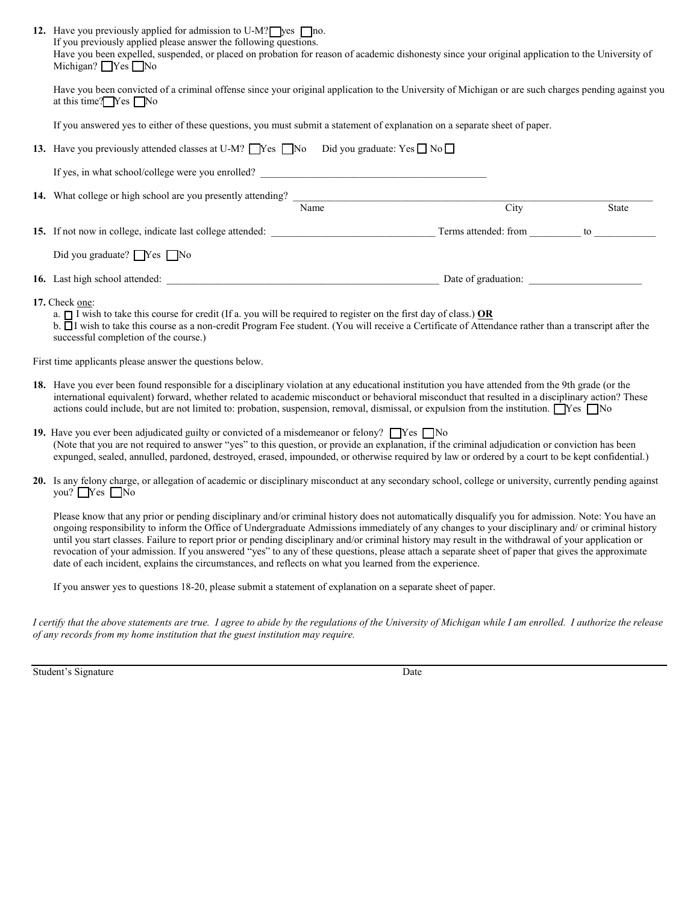| 12. Have you previously applied for admission to U-M? $\Box$ yes $\Box$ no.<br>If you previously applied please answer the following questions.<br>Have you been expelled, suspended, or placed on probation for reason of academic dishonesty since your original application to the University of<br>Michigan? $\Box$ Yes $\Box$ No                                                                                                                                                                                                                                                                                                                                                                                          |      |       |  |  |
|--------------------------------------------------------------------------------------------------------------------------------------------------------------------------------------------------------------------------------------------------------------------------------------------------------------------------------------------------------------------------------------------------------------------------------------------------------------------------------------------------------------------------------------------------------------------------------------------------------------------------------------------------------------------------------------------------------------------------------|------|-------|--|--|
| Have you been convicted of a criminal offense since your original application to the University of Michigan or are such charges pending against you<br>at this time? $\Box$ Yes $\Box$ No                                                                                                                                                                                                                                                                                                                                                                                                                                                                                                                                      |      |       |  |  |
| If you answered yes to either of these questions, you must submit a statement of explanation on a separate sheet of paper.                                                                                                                                                                                                                                                                                                                                                                                                                                                                                                                                                                                                     |      |       |  |  |
| 13. Have you previously attended classes at U-M? $\Box$ Yes $\Box$ No $\Box$ Did you graduate: Yes $\Box$ No $\Box$                                                                                                                                                                                                                                                                                                                                                                                                                                                                                                                                                                                                            |      |       |  |  |
| If yes, in what school/college were you enrolled?                                                                                                                                                                                                                                                                                                                                                                                                                                                                                                                                                                                                                                                                              |      |       |  |  |
| 14. What college or high school are you presently attending? Name                                                                                                                                                                                                                                                                                                                                                                                                                                                                                                                                                                                                                                                              |      |       |  |  |
|                                                                                                                                                                                                                                                                                                                                                                                                                                                                                                                                                                                                                                                                                                                                | City | State |  |  |
|                                                                                                                                                                                                                                                                                                                                                                                                                                                                                                                                                                                                                                                                                                                                |      |       |  |  |
| Did you graduate? TYes No                                                                                                                                                                                                                                                                                                                                                                                                                                                                                                                                                                                                                                                                                                      |      |       |  |  |
| 16. Last high school attended: Date of graduation: Date of graduation:                                                                                                                                                                                                                                                                                                                                                                                                                                                                                                                                                                                                                                                         |      |       |  |  |
| 17. Check one:<br>a. $\Box$ I wish to take this course for credit (If a. you will be required to register on the first day of class.) OR<br>b. I wish to take this course as a non-credit Program Fee student. (You will receive a Certificate of Attendance rather than a transcript after the<br>successful completion of the course.)                                                                                                                                                                                                                                                                                                                                                                                       |      |       |  |  |
| First time applicants please answer the questions below.                                                                                                                                                                                                                                                                                                                                                                                                                                                                                                                                                                                                                                                                       |      |       |  |  |
| 18. Have you ever been found responsible for a disciplinary violation at any educational institution you have attended from the 9th grade (or the<br>international equivalent) forward, whether related to academic misconduct or behavioral misconduct that resulted in a disciplinary action? These<br>actions could include, but are not limited to: probation, suspension, removal, dismissal, or expulsion from the institution. $\Box$ Yes $\Box$ No                                                                                                                                                                                                                                                                     |      |       |  |  |
| 19. Have you ever been adjudicated guilty or convicted of a misdemeanor or felony? $\Box$ Yes $\Box$ No<br>(Note that you are not required to answer "yes" to this question, or provide an explanation, if the criminal adjudication or conviction has been<br>expunged, sealed, annulled, pardoned, destroyed, erased, impounded, or otherwise required by law or ordered by a court to be kept confidential.)                                                                                                                                                                                                                                                                                                                |      |       |  |  |
| 20. Is any felony charge, or allegation of academic or disciplinary misconduct at any secondary school, college or university, currently pending against<br>you? $\Box$ Yes $\Box$ No                                                                                                                                                                                                                                                                                                                                                                                                                                                                                                                                          |      |       |  |  |
| Please know that any prior or pending disciplinary and/or criminal history does not automatically disqualify you for admission. Note: You have an<br>ongoing responsibility to inform the Office of Undergraduate Admissions immediately of any changes to your disciplinary and/ or criminal history<br>until you start classes. Failure to report prior or pending disciplinary and/or criminal history may result in the withdrawal of your application or<br>revocation of your admission. If you answered "yes" to any of these questions, please attach a separate sheet of paper that gives the approximate<br>date of each incident, explains the circumstances, and reflects on what you learned from the experience. |      |       |  |  |

If you answer yes to questions 18-20, please submit a statement of explanation on a separate sheet of paper.

*I certify that the above statements are true. I agree to abide by the regulations of the University of Michigan while I am enrolled. I authorize the release of any records from my home institution that the guest institution may require.*

Student's Signature Date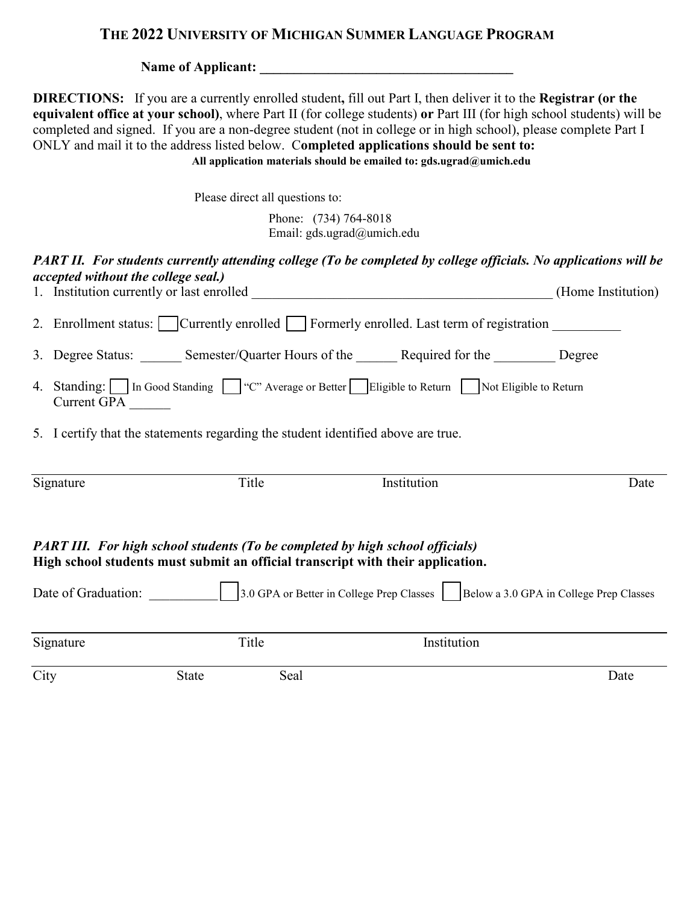## **THE 2022 UNIVERSITY OF MICHIGAN SUMMER LANGUAGE PROGRAM**

**Name of Applicant: \_\_\_\_\_\_\_\_\_\_\_\_\_\_\_\_\_\_\_\_\_\_\_\_\_\_\_\_\_\_\_\_\_\_\_\_\_** 

**DIRECTIONS:** If you are a currently enrolled student**,** fill out Part I, then deliver it to the **Registrar (or the equivalent office at your school)**, where Part II (for college students) **or** Part III (for high school students) will be completed and signed. If you are a non-degree student (not in college or in high school), please complete Part I ONLY and mail it to the address listed below. C**ompleted applications should be sent to: All application materials should be emailed to: gds.ugrad@umich.edu**

Please direct all questions to:

Phone: (734) 764-8018 Email: gds.ugrad@umich.edu

#### *PART II. For students currently attending college (To be completed by college officials. No applications will be accepted without the college seal.)* 1. Institution currently or last enrolled  $(Home)$  Institution)

|                                                                                                                                                                         | 1. Institution currently of fast embrica                                                                   |                                                                                   |                                                                                                 | $(110111C \cdot 1115111U11U1)$ |  |  |
|-------------------------------------------------------------------------------------------------------------------------------------------------------------------------|------------------------------------------------------------------------------------------------------------|-----------------------------------------------------------------------------------|-------------------------------------------------------------------------------------------------|--------------------------------|--|--|
|                                                                                                                                                                         |                                                                                                            |                                                                                   | 2. Enrollment status: Currently enrolled Formerly enrolled. Last term of registration           |                                |  |  |
|                                                                                                                                                                         |                                                                                                            |                                                                                   | 3. Degree Status: ______ Semester/Quarter Hours of the ______ Required for the ________ Degree  |                                |  |  |
|                                                                                                                                                                         | Current GPA                                                                                                |                                                                                   | 4. Standing: In Good Standing T "C" Average or Better Eligible to Return Not Eligible to Return |                                |  |  |
|                                                                                                                                                                         |                                                                                                            | 5. I certify that the statements regarding the student identified above are true. |                                                                                                 |                                |  |  |
|                                                                                                                                                                         |                                                                                                            |                                                                                   |                                                                                                 |                                |  |  |
|                                                                                                                                                                         | Signature                                                                                                  | Title                                                                             | Institution                                                                                     | Date                           |  |  |
| <b>PART III.</b> For high school students (To be completed by high school officials)<br>High school students must submit an official transcript with their application. |                                                                                                            |                                                                                   |                                                                                                 |                                |  |  |
|                                                                                                                                                                         | 3.0 GPA or Better in College Prep Classes   Below a 3.0 GPA in College Prep Classes<br>Date of Graduation: |                                                                                   |                                                                                                 |                                |  |  |
|                                                                                                                                                                         | Signature                                                                                                  | Title                                                                             | Institution                                                                                     |                                |  |  |

City State Seal Date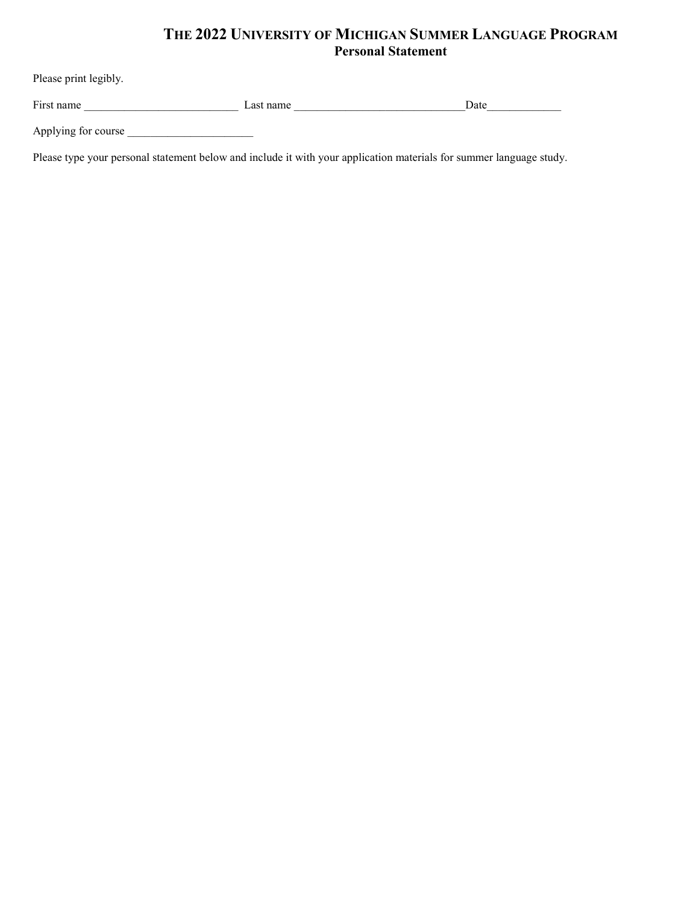## **THE 2022 UNIVERSITY OF MICHIGAN SUMMER LANGUAGE PROGRAM Personal Statement**

| Please print legibly. |           |      |
|-----------------------|-----------|------|
| First name            | Last name | Date |
| Applying for course   |           |      |

Please type your personal statement below and include it with your application materials for summer language study.